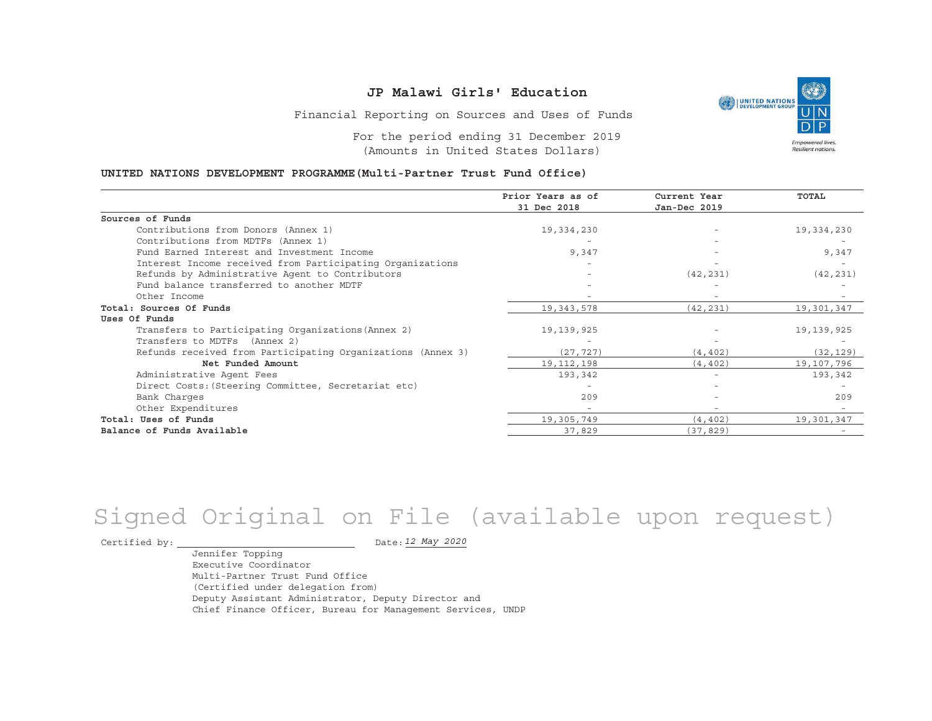Financial Reporting on Sources and Uses of Funds

For the period ending 31 December 2019(Amounts in United States Dollars)

#### **UNITED NATIONS DEVELOPMENT PROGRAMME(Multi-Partner Trust Fund Office)**

|                                                             | Prior Years as of<br>31 Dec 2018 | Current Year<br>Jan-Dec 2019 | <b>TOTAL</b> |
|-------------------------------------------------------------|----------------------------------|------------------------------|--------------|
|                                                             |                                  |                              |              |
| Sources of Funds                                            |                                  |                              |              |
| Contributions from Donors (Annex 1)                         | 19,334,230                       |                              | 19,334,230   |
| Contributions from MDTFs (Annex 1)                          |                                  |                              |              |
| Fund Earned Interest and Investment Income                  | 9,347                            |                              | 9,347        |
| Interest Income received from Participating Organizations   |                                  |                              |              |
| Refunds by Administrative Agent to Contributors             |                                  | (42, 231)                    | (42, 231)    |
| Fund balance transferred to another MDTF                    |                                  |                              |              |
| Other Income                                                |                                  |                              |              |
| Total: Sources Of Funds                                     | 19,343,578                       | (42, 231)                    | 19,301,347   |
| Uses Of Funds                                               |                                  |                              |              |
| Transfers to Participating Organizations (Annex 2)          | 19,139,925                       |                              | 19,139,925   |
| Transfers to MDTFs (Annex 2)                                |                                  |                              |              |
| Refunds received from Participating Organizations (Annex 3) | (27, 727)                        | (4, 402)                     | (32, 129)    |
| Net Funded Amount                                           | 19, 112, 198                     | (4, 402)                     | 19,107,796   |
| Administrative Agent Fees                                   | 193,342                          | $\overline{\phantom{0}}$     | 193,342      |
| Direct Costs: (Steering Committee, Secretariat etc)         |                                  |                              |              |
| Bank Charges                                                | 209                              |                              | 209          |
| Other Expenditures                                          |                                  |                              |              |
| Total: Uses of Funds                                        | 19,305,749                       | (4, 402)                     | 19,301,347   |
| Balance of Funds Available                                  | 37,829                           | (37, 829)                    |              |

# Signed Original on File (available upon request)

Certified by:  $\overline{\phantom{a}}$ 

*12 May 2020*

Jennifer Topping Executive CoordinatorMulti-Partner Trust Fund Office(Certified under delegation from) Deputy Assistant Administrator, Deputy Director and Chief Finance Officer, Bureau for Management Services, UNDP

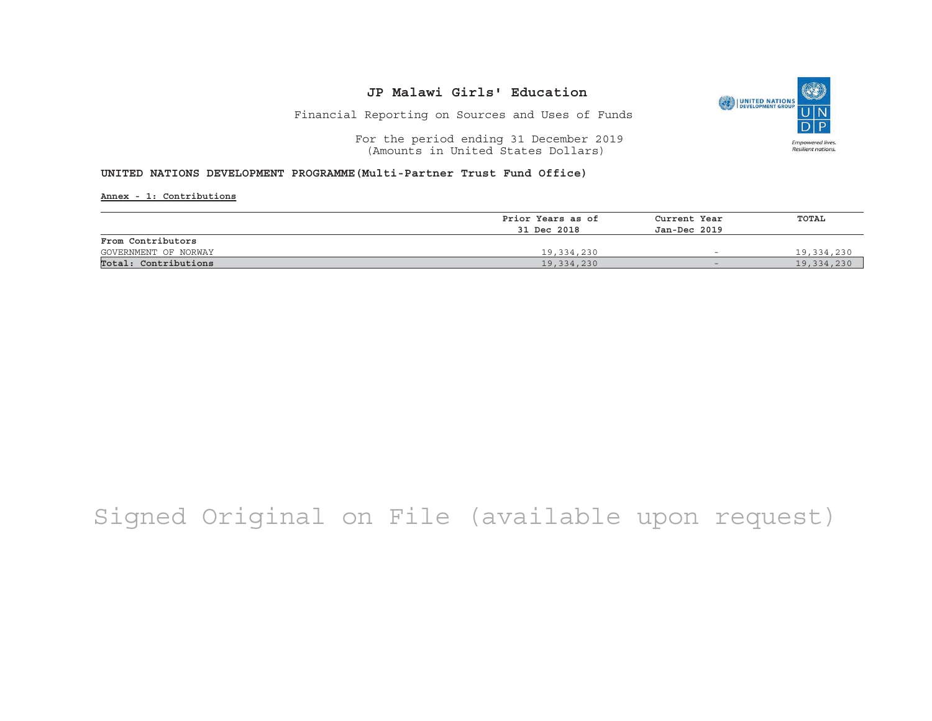

Financial Reporting on Sources and Uses of Funds

For the period ending 31 December 2019 (Amounts in United States Dollars)

#### **UNITED NATIONS DEVELOPMENT PROGRAMME(Multi-Partner Trust Fund Office)**

**Annex - 1: Contributions**

|                      | Prior Years as of | Current Year             | TOTAL      |
|----------------------|-------------------|--------------------------|------------|
|                      | 31 Dec 2018       | Jan-Dec 2019             |            |
| From Contributors    |                   |                          |            |
| GOVERNMENT OF NORWAY | 19,334,230        | $\overline{\phantom{0}}$ | 19,334,230 |
| Total: Contributions | 19,334,230        | $\overline{\phantom{0}}$ | 19,334,230 |

## Signed Original on File (available upon request)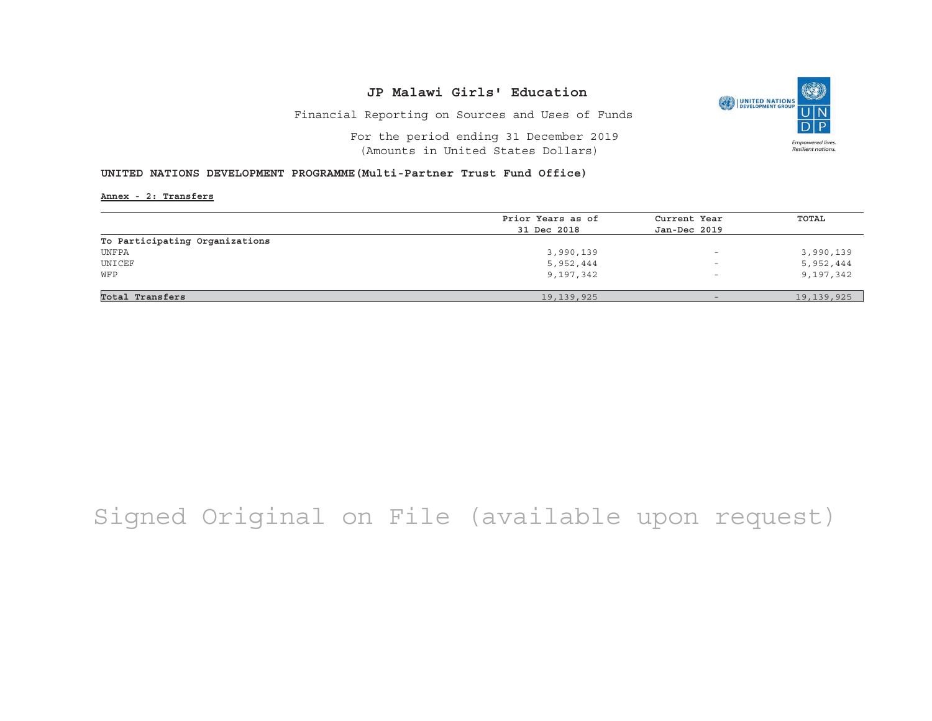Financial Reporting on Sources and Uses of Funds

For the period ending 31 December 2019(Amounts in United States Dollars)

### **UNITED NATIONS DEVELOPMENT PROGRAMME(Multi-Partner Trust Fund Office)**

**Annex - 2: Transfers**

|                                | Prior Years as of | Current Year             | TOTAL        |
|--------------------------------|-------------------|--------------------------|--------------|
|                                | 31 Dec 2018       | Jan-Dec 2019             |              |
| To Participating Organizations |                   |                          |              |
| UNFPA                          | 3,990,139         | $\overline{\phantom{m}}$ | 3,990,139    |
| UNICEF                         | 5,952,444         | $\overline{\phantom{m}}$ | 5,952,444    |
| WFP                            | 9,197,342         | $\overline{\phantom{0}}$ | 9,197,342    |
|                                |                   |                          |              |
| Total Transfers                | 19, 139, 925      |                          | 19, 139, 925 |

# Signed Original on File (available upon request)